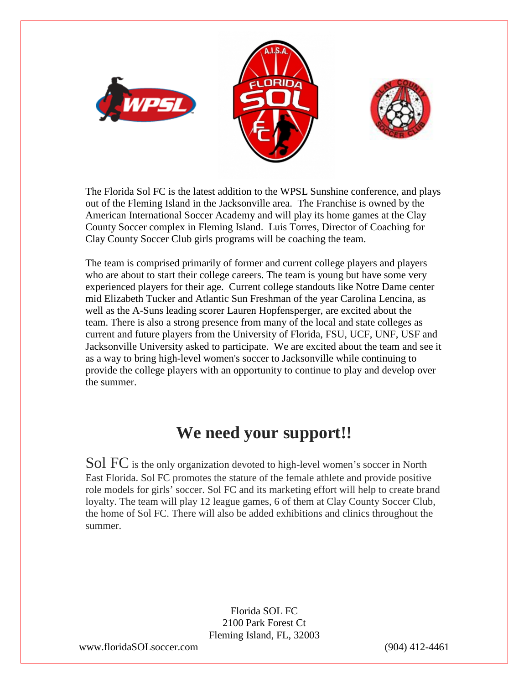

The Florida Sol FC is the latest addition to the WPSL Sunshine conference, and plays out of the Fleming Island in the Jacksonville area. The Franchise is owned by the American International Soccer Academy and will play its home games at the Clay County Soccer complex in Fleming Island. Luis Torres, Director of Coaching for Clay County Soccer Club girls programs will be coaching the team.

The team is comprised primarily of former and current college players and players who are about to start their college careers. The team is young but have some very experienced players for their age. Current college standouts like Notre Dame center mid Elizabeth Tucker and Atlantic Sun Freshman of the year Carolina Lencina, as well as the A-Suns leading scorer Lauren Hopfensperger, are excited about the team. There is also a strong presence from many of the local and state colleges as current and future players from the University of Florida, FSU, UCF, UNF, USF and Jacksonville University asked to participate. We are excited about the team and see it as a way to bring high-level women's soccer to Jacksonville while continuing to provide the college players with an opportunity to continue to play and develop over the summer.

## **We need your support!!**

Sol FC is the only organization devoted to high-level women's soccer in North East Florida. Sol FC promotes the stature of the female athlete and provide positive role models for girls' soccer. Sol FC and its marketing effort will help to create brand loyalty. The team will play 12 league games, 6 of them at Clay County Soccer Club, the home of Sol FC. There will also be added exhibitions and clinics throughout the summer.

> Florida SOL FC 2100 Park Forest Ct Fleming Island, FL, 32003

www.floridaSOLsoccer.com (904) 412-4461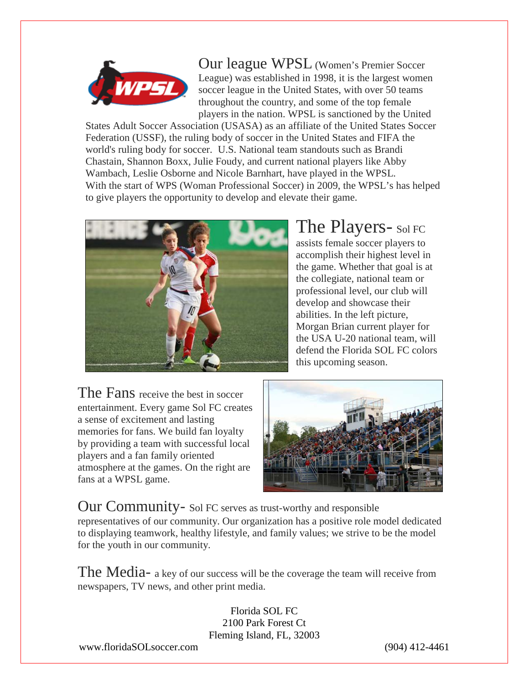

Our league WPSL (Women's Premier Soccer League) was established in 1998, it is the largest women soccer league in the United States, with over 50 teams throughout the country, and some of the top female players in the nation. WPSL is sanctioned by the United

States Adult Soccer Association (USASA) as an affiliate of the United States Soccer Federation (USSF), the ruling body of soccer in the United States and FIFA the world's ruling body for soccer. U.S. National team standouts such as Brandi Chastain, Shannon Boxx, Julie Foudy, and current national players like Abby Wambach, Leslie Osborne and Nicole Barnhart, have played in the WPSL. With the start of WPS (Woman Professional Soccer) in 2009, the WPSL's has helped to give players the opportunity to develop and elevate their game.



# The Players- Sol FC

assists female soccer players to accomplish their highest level in the game. Whether that goal is at the collegiate, national team or professional level, our club will develop and showcase their abilities. In the left picture, Morgan Brian current player for the USA U-20 national team, will defend the Florida SOL FC colors this upcoming season.

The Fans receive the best in soccer entertainment. Every game Sol FC creates a sense of excitement and lasting memories for fans. We build fan loyalty by providing a team with successful local players and a fan family oriented atmosphere at the games. On the right are fans at a WPSL game.



Our Community- Sol FC serves as trust-worthy and responsible representatives of our community. Our organization has a positive role model dedicated to displaying teamwork, healthy lifestyle, and family values; we strive to be the model for the youth in our community.

The Media- a key of our success will be the coverage the team will receive from newspapers, TV news, and other print media.

> Florida SOL FC 2100 Park Forest Ct Fleming Island, FL, 32003

www.floridaSOLsoccer.com (904) 412-4461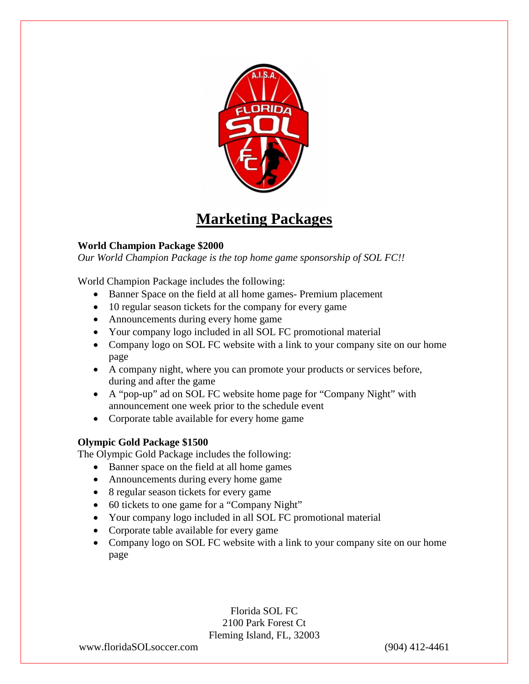

## **Marketing Packages**

### **World Champion Package \$2000**

*Our World Champion Package is the top home game sponsorship of SOL FC!!*

World Champion Package includes the following:

- Banner Space on the field at all home games- Premium placement
- 10 regular season tickets for the company for every game
- Announcements during every home game
- Your company logo included in all SOL FC promotional material
- Company logo on SOL FC website with a link to your company site on our home page
- A company night, where you can promote your products or services before, during and after the game
- A "pop-up" ad on SOL FC website home page for "Company Night" with announcement one week prior to the schedule event
- Corporate table available for every home game

### **Olympic Gold Package \$1500**

The Olympic Gold Package includes the following:

- Banner space on the field at all home games
- Announcements during every home game
- 8 regular season tickets for every game
- 60 tickets to one game for a "Company Night"
- Your company logo included in all SOL FC promotional material
- Corporate table available for every game
- Company logo on SOL FC website with a link to your company site on our home page

Florida SOL FC 2100 Park Forest Ct Fleming Island, FL, 32003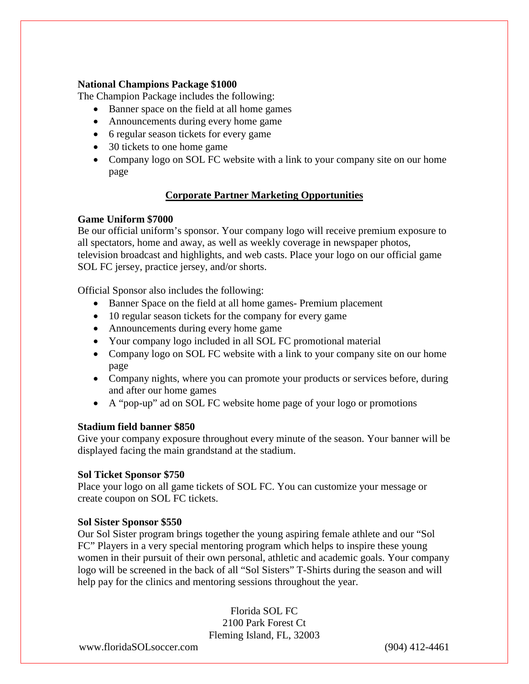#### **National Champions Package \$1000**

The Champion Package includes the following:

- Banner space on the field at all home games
- Announcements during every home game
- 6 regular season tickets for every game
- 30 tickets to one home game
- Company logo on SOL FC website with a link to your company site on our home page

#### **Corporate Partner Marketing Opportunities**

#### **Game Uniform \$7000**

Be our official uniform's sponsor. Your company logo will receive premium exposure to all spectators, home and away, as well as weekly coverage in newspaper photos, television broadcast and highlights, and web casts. Place your logo on our official game SOL FC jersey, practice jersey, and/or shorts.

Official Sponsor also includes the following:

- Banner Space on the field at all home games- Premium placement
- 10 regular season tickets for the company for every game
- Announcements during every home game
- Your company logo included in all SOL FC promotional material
- Company logo on SOL FC website with a link to your company site on our home page
- Company nights, where you can promote your products or services before, during and after our home games
- A "pop-up" ad on SOL FC website home page of your logo or promotions

#### **Stadium field banner \$850**

Give your company exposure throughout every minute of the season. Your banner will be displayed facing the main grandstand at the stadium.

#### **Sol Ticket Sponsor \$750**

Place your logo on all game tickets of SOL FC. You can customize your message or create coupon on SOL FC tickets.

#### **Sol Sister Sponsor \$550**

Our Sol Sister program brings together the young aspiring female athlete and our "Sol FC" Players in a very special mentoring program which helps to inspire these young women in their pursuit of their own personal, athletic and academic goals. Your company logo will be screened in the back of all "Sol Sisters" T-Shirts during the season and will help pay for the clinics and mentoring sessions throughout the year.

> Florida SOL FC 2100 Park Forest Ct Fleming Island, FL, 32003